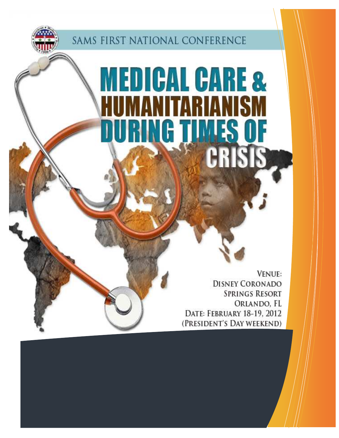

SAMS FIRST NATIONAL CONFERENCE

# **MEDICAL CARE & MANITARIANISM** URING TIMES OF **LRISIS**

**VENUE: DISNEY CORONADO SPRINGS RESORT** ORLANDO, FL DATE: FEBRUARY 18-19, 2012 (PRESIDENT'S DAY WEEKEND)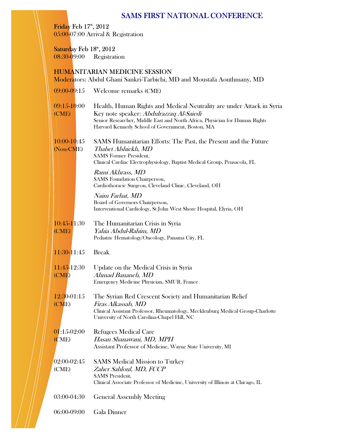# SAMS FIRST NATIONAL CONFERENCE

Friday Feb 17<sup>th</sup>, 2012 05:00-07:00 Arrival & Registration

Saturday Feb 18th, 2012 08:30-09:00 Registration

## HUMANITARIAN MEDICINE SESSION

Moderators: Abdul Ghani Sankri-Tarbichi, MD and Moustafa Aouthmany, MD

09:00-09:15 Welcome remarks (CME)

| $09:15 - 10:00$ | Health, Human Rights and Medical Neutrality are under Attack in Syria       |
|-----------------|-----------------------------------------------------------------------------|
| (CME)           | Key note speaker: <i>Abdulrazzag Al-Saiedi</i>                              |
|                 | Senior Researcher, Middle East and North Africa, Physician for Human Rights |
|                 | Harvard Kennedy School of Government, Boston, MA                            |
|                 |                                                                             |

10:00-10:45 SAMS Humanitarian Efforts: The Past, the Present and the Future (Non-CME) Thabet Alshiekh, MD SAMS Former President, Clinical Cardiac Electrophysiology, Baptist Medical Group, Pensacola, FL

> Rami Akhrass, MD SAMS Foundation Chairperson, Cardiothoracic Surgeon, Cleveland Clinic, Cleveland, OH

Naim Farhat, MD Board of Governors Chairperson, Interventional Cardiology, St John West Shore Hospital, Elyria, OH

10:45-11:30 The Humanitarian Crisis in Syria (CME) Yahia Abdul-Rahim, MD Pediatric Hematology/Oncology, Panama City, FL

11:30-11:45 Break

#### 11:45-12:30 Update on the Medical Crisis in Syria (CME) Ahmad Bananeh, MD Emergency Medicine Physician, SMUR, France

12:30-01:15 The Syrian Red Crescent Society and Humanitarian Relief (CME) Firas Alkassab, MD Clinical Assistant Professor, Rheumatology, Mecklenburg Medical Group-Charlotte University of North Carolina-Chapel Hill, NC

01:15-02:00 Refugees Medical Care

(CME) Hasan Shanawani, MD, MPH Assistant Professor of Medicine, Wayne State University, MI

02:00-02:45 SAMS Medical Mission to Turkey (CME) Zaher Sahloul, MD, FCCP SAMS President, Clinical Associate Professor of Medicine, University of Illinois at Chicago, IL

03:00-04:30 General Assembly Meeting

06:00-09:00 Gala Dinner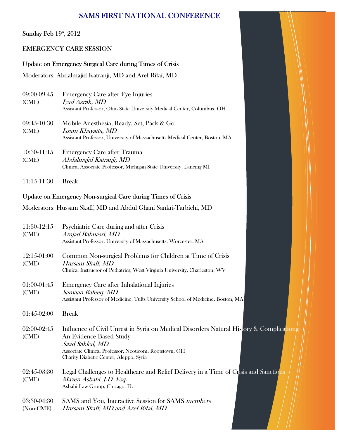# SAMS FIRST NATIONAL CONFERENCE

Sunday Feb 19th, 2012

#### EMERGENCY CARE SESSION

Update on Emergency Surgical Care during Times of Crisis

Moderators: Abdalmajid Katranji, MD and Aref Rifai, MD

| 09:00-09:45<br>(CME) | <b>Emergency Care after Eye Injuries</b><br>Iyad Azrak, MD<br>Assistant Professor, Ohio State University Medical Center, Columbus, OH                |
|----------------------|------------------------------------------------------------------------------------------------------------------------------------------------------|
| 09:45-10:30<br>(CME) | Mobile Anesthesia, Ready, Set, Pack & Go<br><i>Issam Khayatta, MD</i><br>Assistant Professor, University of Massachusetts Medical Center, Boston, MA |
| 10:30-11:15<br>(CME) | <b>Emergency Care after Trauma</b><br>Abdalmajid Katranji, MD<br>Clinical Associate Professor, Michigan State University, Lancing MI                 |

11:15-11:30 Break

Update on Emergency Non-surgical Care during Times of Crisis

Moderators: Hussam Skaff, MD and Abdul Ghani Sankri-Tarbichi, MD

| 11:30-12:15<br>(CME)     | Psychiatric Care during and after Crisis<br>Amjad Bahnassi, MD<br>Assistant Professor, University of Massachusetts, Worcester, MA                                                                                                        |  |
|--------------------------|------------------------------------------------------------------------------------------------------------------------------------------------------------------------------------------------------------------------------------------|--|
| 12:15-01:00<br>(CME)     | Common Non-surgical Problems for Children at Time of Crisis<br>Hussam Skaff, MD<br>Clinical Instructor of Pediatrics, West Virginia University, Charleston, WV                                                                           |  |
| $01:00-01:45$<br>(CME)   | <b>Emergency Care after Inhalational Injuries</b><br>Samaan Rafeeq, MD<br>Assistant Professor of Medicine, Tufts University School of Medicine, Boston, MA                                                                               |  |
| $01:45-02:00$            | <b>Break</b>                                                                                                                                                                                                                             |  |
| 02:00-02:45<br>(CME)     | Influence of Civil Unrest in Syria on Medical Disorders Natural History & Complications:<br>An Evidence Based Study<br>Saad Sakkal, MD<br>Associate Clinical Professor, Neoucom, Rootstown, OH<br>Charity Diabetic Center, Aleppo, Syria |  |
| 02:45-03:30<br>(CME)     | Legal Challenges to Healthcare and Relief Delivery in a Time of Crisis and Sanctions<br>Mazen Asbahi, J.D .Esq.<br>Asbahi Law Group, Chicago, IL                                                                                         |  |
| 03:30-04:30<br>(Non-CME) | SAMS and You, Interactive Session for SAMS members<br>Hussam Skaff, MD and Aref Rifai, MD                                                                                                                                                |  |

and the state